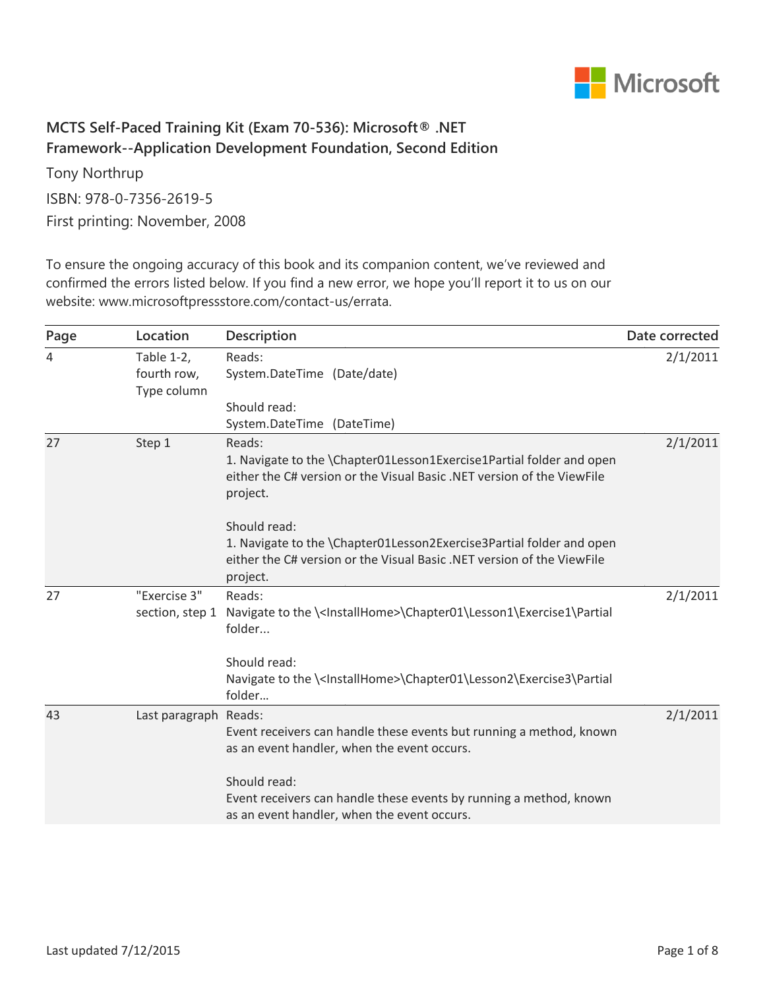

## **MCTS Self-Paced Training Kit (Exam 70-536): Microsoft® .NET Framework--Application Development Foundation, Second Edition**

Tony Northrup ISBN: 978-0-7356-2619-5 First printing: November, 2008

To ensure the ongoing accuracy of this book and its companion content, we've reviewed and confirmed the errors listed below. If you find a new error, we hope you'll report it to us on our website: www.microsoftpressstore.com/contact-us/errata.

| Page | Location                                 | Description                                                                                                                                                                | Date corrected |
|------|------------------------------------------|----------------------------------------------------------------------------------------------------------------------------------------------------------------------------|----------------|
| 4    | Table 1-2,<br>fourth row,<br>Type column | Reads:<br>System.DateTime (Date/date)                                                                                                                                      | 2/1/2011       |
|      |                                          | Should read:<br>System.DateTime (DateTime)                                                                                                                                 |                |
| 27   | Step 1                                   | Reads:<br>1. Navigate to the \Chapter01Lesson1Exercise1Partial folder and open<br>either the C# version or the Visual Basic .NET version of the ViewFile<br>project.       | 2/1/2011       |
|      |                                          | Should read:<br>1. Navigate to the \Chapter01Lesson2Exercise3Partial folder and open<br>either the C# version or the Visual Basic .NET version of the ViewFile<br>project. |                |
| 27   | "Exercise 3"<br>section, step 1          | Reads:<br>Navigate to the \ <installhome>\Chapter01\Lesson1\Exercise1\Partial<br/>folder</installhome>                                                                     | 2/1/2011       |
|      |                                          | Should read:<br>Navigate to the \ <installhome>\Chapter01\Lesson2\Exercise3\Partial<br/>folder</installhome>                                                               |                |
| 43   | Last paragraph Reads:                    | Event receivers can handle these events but running a method, known<br>as an event handler, when the event occurs.                                                         | 2/1/2011       |
|      |                                          | Should read:<br>Event receivers can handle these events by running a method, known<br>as an event handler, when the event occurs.                                          |                |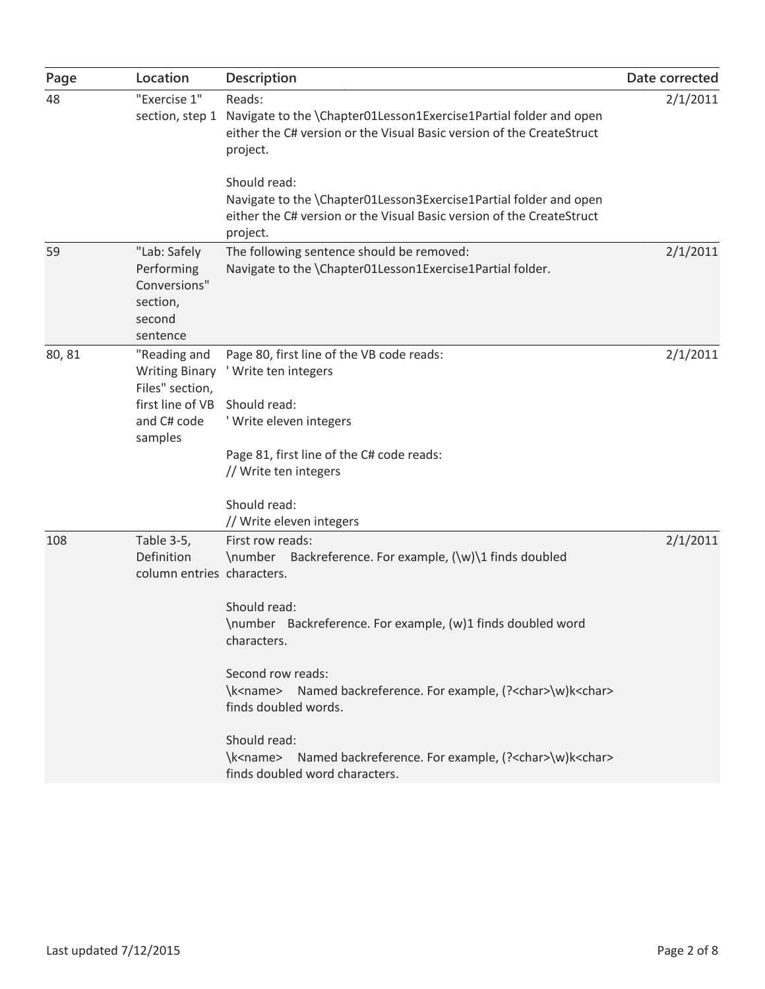| Page   | Location                                                                                               | Description                                                                                                                                                                                                                                                                                                                                                                                                                                                                            | Date corrected |
|--------|--------------------------------------------------------------------------------------------------------|----------------------------------------------------------------------------------------------------------------------------------------------------------------------------------------------------------------------------------------------------------------------------------------------------------------------------------------------------------------------------------------------------------------------------------------------------------------------------------------|----------------|
| 48     | "Exercise 1"<br>section, step 1                                                                        | Reads:<br>Navigate to the \Chapter01Lesson1Exercise1Partial folder and open<br>either the C# version or the Visual Basic version of the CreateStruct<br>project.                                                                                                                                                                                                                                                                                                                       | 2/1/2011       |
|        |                                                                                                        | Should read:<br>Navigate to the \Chapter01Lesson3Exercise1Partial folder and open<br>either the C# version or the Visual Basic version of the CreateStruct<br>project.                                                                                                                                                                                                                                                                                                                 |                |
| 59     | "Lab: Safely<br>Performing<br>Conversions"<br>section,<br>second<br>sentence                           | The following sentence should be removed:<br>Navigate to the \Chapter01Lesson1Exercise1Partial folder.                                                                                                                                                                                                                                                                                                                                                                                 | 2/1/2011       |
| 80, 81 | "Reading and<br><b>Writing Binary</b><br>Files" section,<br>first line of VB<br>and C# code<br>samples | Page 80, first line of the VB code reads:<br>' Write ten integers<br>Should read:<br>' Write eleven integers<br>Page 81, first line of the C# code reads:<br>// Write ten integers<br>Should read:                                                                                                                                                                                                                                                                                     | 2/1/2011       |
| 108    | Table 3-5,<br>Definition<br>column entries characters.                                                 | // Write eleven integers<br>First row reads:<br>\number Backreference. For example, (\w)\1 finds doubled<br>Should read:<br>\number Backreference. For example, (w)1 finds doubled word<br>characters.<br>Second row reads:<br>\k <name> Named backreference. For example, (?<char>\w)k<char><br/>finds doubled words.<br/>Should read:<br/>\k<name> Named backreference. For example, (?<char>\w)k<char><br/>finds doubled word characters.</char></char></name></char></char></name> | 2/1/2011       |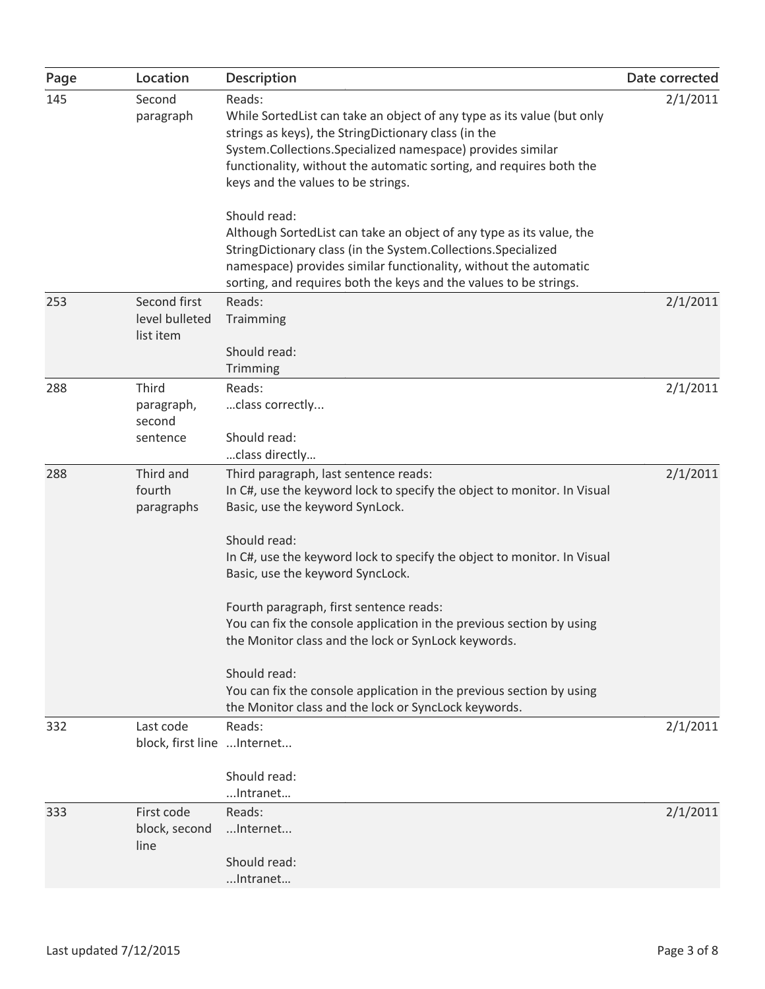| Page | Location                                    | <b>Description</b>                                                                                                                                                                                                                                                                                                                                                                                                                                                            | Date corrected |
|------|---------------------------------------------|-------------------------------------------------------------------------------------------------------------------------------------------------------------------------------------------------------------------------------------------------------------------------------------------------------------------------------------------------------------------------------------------------------------------------------------------------------------------------------|----------------|
| 145  | Second<br>paragraph                         | Reads:<br>While Sorted List can take an object of any type as its value (but only<br>strings as keys), the StringDictionary class (in the<br>System.Collections.Specialized namespace) provides similar<br>functionality, without the automatic sorting, and requires both the<br>keys and the values to be strings.<br>Should read:<br>Although SortedList can take an object of any type as its value, the<br>StringDictionary class (in the System.Collections.Specialized | 2/1/2011       |
|      |                                             | namespace) provides similar functionality, without the automatic<br>sorting, and requires both the keys and the values to be strings.                                                                                                                                                                                                                                                                                                                                         |                |
| 253  | Second first<br>level bulleted<br>list item | Reads:<br>Traimming                                                                                                                                                                                                                                                                                                                                                                                                                                                           | 2/1/2011       |
|      |                                             | Should read:<br>Trimming                                                                                                                                                                                                                                                                                                                                                                                                                                                      |                |
| 288  | Third<br>paragraph,<br>second<br>sentence   | Reads:<br>class correctly<br>Should read:                                                                                                                                                                                                                                                                                                                                                                                                                                     | 2/1/2011       |
|      |                                             | class directly                                                                                                                                                                                                                                                                                                                                                                                                                                                                |                |
| 288  | Third and<br>fourth<br>paragraphs           | Third paragraph, last sentence reads:<br>In C#, use the keyword lock to specify the object to monitor. In Visual<br>Basic, use the keyword SynLock.                                                                                                                                                                                                                                                                                                                           | 2/1/2011       |
|      |                                             | Should read:<br>In C#, use the keyword lock to specify the object to monitor. In Visual<br>Basic, use the keyword SyncLock.                                                                                                                                                                                                                                                                                                                                                   |                |
|      |                                             | Fourth paragraph, first sentence reads:<br>You can fix the console application in the previous section by using<br>the Monitor class and the lock or SynLock keywords.                                                                                                                                                                                                                                                                                                        |                |
|      |                                             | Should read:<br>You can fix the console application in the previous section by using<br>the Monitor class and the lock or SyncLock keywords.                                                                                                                                                                                                                                                                                                                                  |                |
| 332  | Last code<br>block, first line  Internet    | Reads:                                                                                                                                                                                                                                                                                                                                                                                                                                                                        | 2/1/2011       |
|      |                                             | Should read:<br>Intranet                                                                                                                                                                                                                                                                                                                                                                                                                                                      |                |
| 333  | First code<br>block, second                 | Reads:<br>Internet                                                                                                                                                                                                                                                                                                                                                                                                                                                            | 2/1/2011       |
|      | line                                        | Should read:<br>Intranet                                                                                                                                                                                                                                                                                                                                                                                                                                                      |                |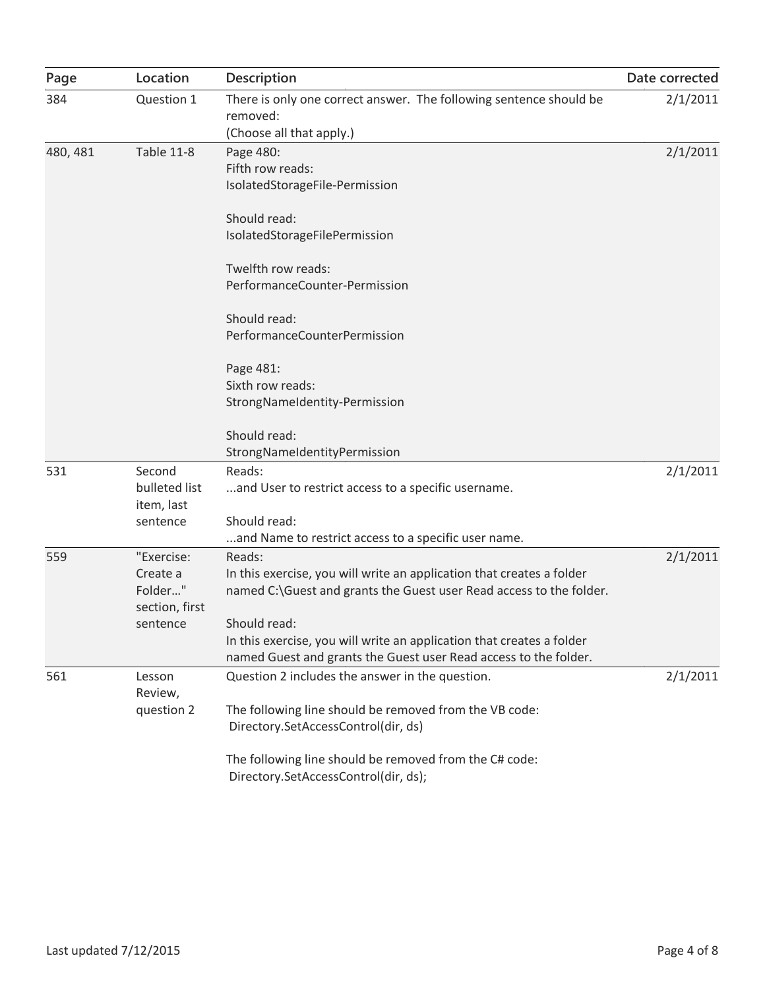| Page     | Location                                            | <b>Description</b>                                                                                                                                        | Date corrected |
|----------|-----------------------------------------------------|-----------------------------------------------------------------------------------------------------------------------------------------------------------|----------------|
| 384      | Question 1                                          | There is only one correct answer. The following sentence should be<br>removed:<br>(Choose all that apply.)                                                | 2/1/2011       |
| 480, 481 | <b>Table 11-8</b>                                   | Page 480:<br>Fifth row reads:<br>IsolatedStorageFile-Permission                                                                                           | 2/1/2011       |
|          |                                                     | Should read:<br>IsolatedStorageFilePermission                                                                                                             |                |
|          |                                                     | Twelfth row reads:<br>PerformanceCounter-Permission                                                                                                       |                |
|          |                                                     | Should read:<br>PerformanceCounterPermission                                                                                                              |                |
|          |                                                     | Page 481:<br>Sixth row reads:<br>StrongNameIdentity-Permission                                                                                            |                |
|          |                                                     | Should read:<br>StrongNameIdentityPermission                                                                                                              |                |
| 531      | Second<br>bulleted list<br>item, last<br>sentence   | Reads:<br>and User to restrict access to a specific username.<br>Should read:                                                                             | 2/1/2011       |
|          |                                                     | and Name to restrict access to a specific user name.                                                                                                      |                |
| 559      | "Exercise:<br>Create a<br>Folder"<br>section, first | Reads:<br>In this exercise, you will write an application that creates a folder<br>named C:\Guest and grants the Guest user Read access to the folder.    | 2/1/2011       |
|          | sentence                                            | Should read:<br>In this exercise, you will write an application that creates a folder<br>named Guest and grants the Guest user Read access to the folder. |                |
| 561      | Lesson<br>Review,                                   | Question 2 includes the answer in the question.                                                                                                           | 2/1/2011       |
|          | question 2                                          | The following line should be removed from the VB code:<br>Directory.SetAccessControl(dir, ds)                                                             |                |
|          |                                                     | The following line should be removed from the C# code:<br>Directory.SetAccessControl(dir, ds);                                                            |                |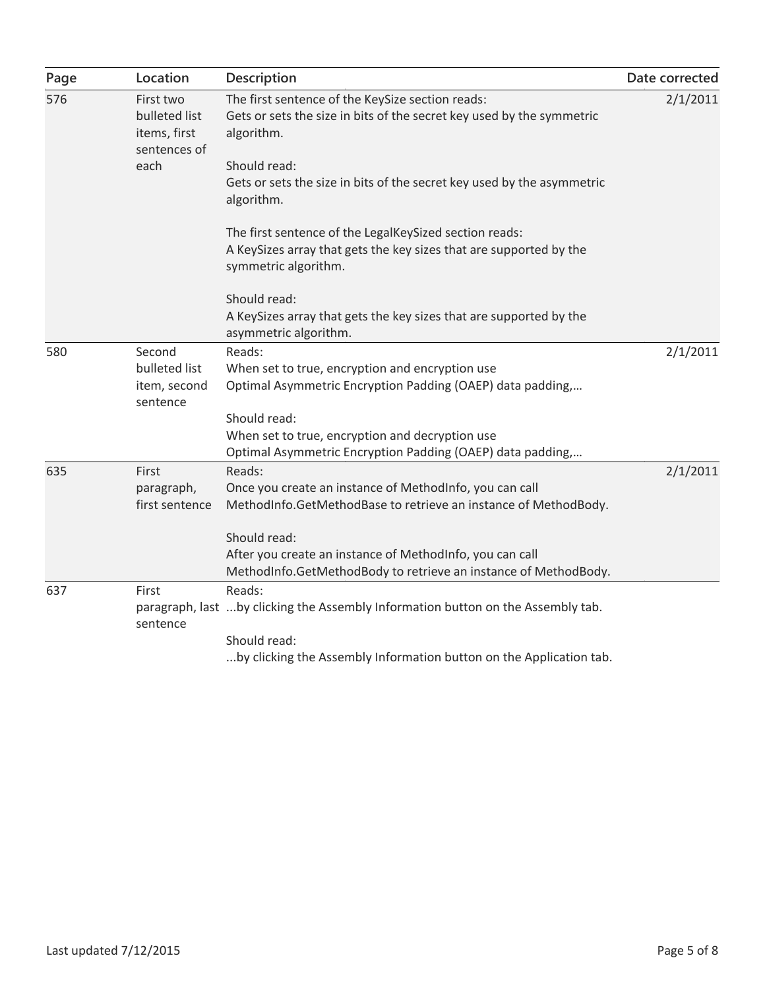| Page | Location                                                   | Description                                                                                                                                          | Date corrected |
|------|------------------------------------------------------------|------------------------------------------------------------------------------------------------------------------------------------------------------|----------------|
| 576  | First two<br>bulleted list<br>items, first<br>sentences of | The first sentence of the KeySize section reads:<br>Gets or sets the size in bits of the secret key used by the symmetric<br>algorithm.              | 2/1/2011       |
|      | each                                                       | Should read:<br>Gets or sets the size in bits of the secret key used by the asymmetric<br>algorithm.                                                 |                |
|      |                                                            | The first sentence of the LegalKeySized section reads:<br>A KeySizes array that gets the key sizes that are supported by the<br>symmetric algorithm. |                |
|      |                                                            | Should read:                                                                                                                                         |                |
|      |                                                            | A KeySizes array that gets the key sizes that are supported by the<br>asymmetric algorithm.                                                          |                |
| 580  | Second                                                     | Reads:                                                                                                                                               | 2/1/2011       |
|      | bulleted list                                              | When set to true, encryption and encryption use                                                                                                      |                |
|      | item, second<br>sentence                                   | Optimal Asymmetric Encryption Padding (OAEP) data padding,                                                                                           |                |
|      |                                                            | Should read:                                                                                                                                         |                |
|      |                                                            | When set to true, encryption and decryption use                                                                                                      |                |
|      |                                                            | Optimal Asymmetric Encryption Padding (OAEP) data padding,                                                                                           |                |
| 635  | First                                                      | Reads:                                                                                                                                               | 2/1/2011       |
|      | paragraph,                                                 | Once you create an instance of MethodInfo, you can call                                                                                              |                |
|      | first sentence                                             | MethodInfo.GetMethodBase to retrieve an instance of MethodBody.                                                                                      |                |
|      |                                                            | Should read:                                                                                                                                         |                |
|      |                                                            | After you create an instance of MethodInfo, you can call                                                                                             |                |
|      |                                                            | MethodInfo.GetMethodBody to retrieve an instance of MethodBody.                                                                                      |                |
| 637  | First                                                      | Reads:                                                                                                                                               |                |
|      | sentence                                                   | paragraph, last by clicking the Assembly Information button on the Assembly tab.                                                                     |                |
|      |                                                            | Should read:                                                                                                                                         |                |
|      |                                                            | by clicking the Assembly Information button on the Application tab.                                                                                  |                |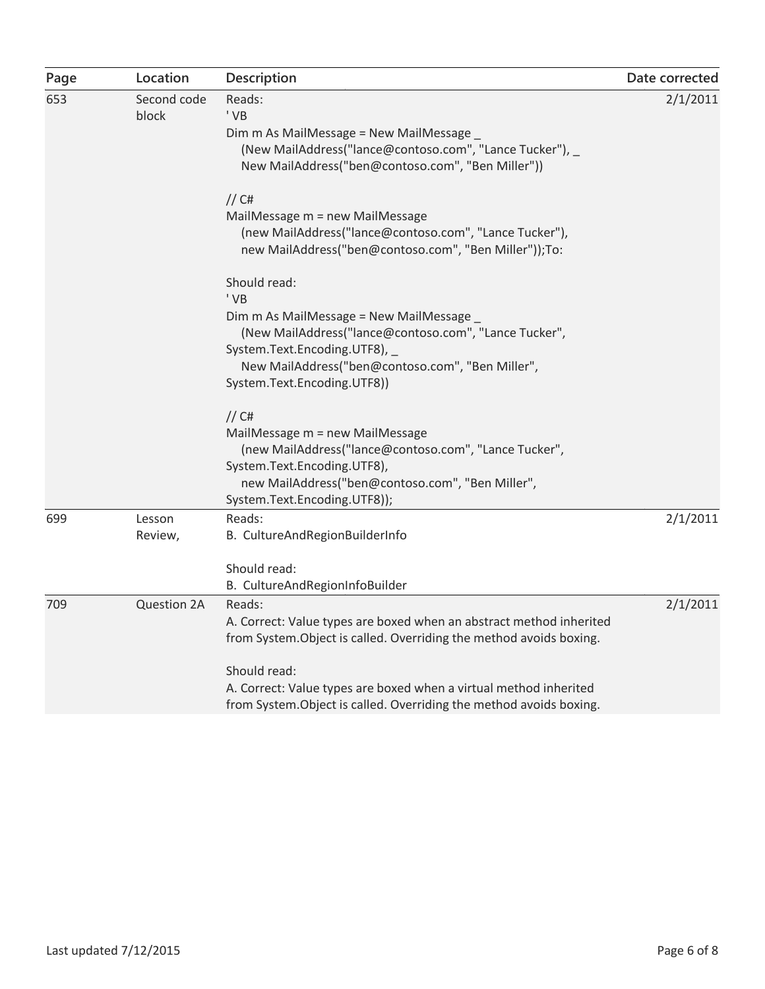| Page | Location             | <b>Description</b>                                                                                                                                                                                                                                                                                               | Date corrected |
|------|----------------------|------------------------------------------------------------------------------------------------------------------------------------------------------------------------------------------------------------------------------------------------------------------------------------------------------------------|----------------|
| 653  | Second code<br>block | Reads:<br>' VB<br>Dim m As MailMessage = New MailMessage _<br>(New MailAddress("lance@contoso.com", "Lance Tucker"), _<br>New MailAddress("ben@contoso.com", "Ben Miller"))                                                                                                                                      | 2/1/2011       |
|      |                      | $//$ C#<br>MailMessage m = new MailMessage<br>(new MailAddress("lance@contoso.com", "Lance Tucker"),<br>new MailAddress("ben@contoso.com", "Ben Miller"));To:                                                                                                                                                    |                |
|      |                      | Should read:<br>' VB<br>Dim m As MailMessage = New MailMessage _<br>(New MailAddress("lance@contoso.com", "Lance Tucker",<br>System.Text.Encoding.UTF8),<br>New MailAddress("ben@contoso.com", "Ben Miller",<br>System.Text.Encoding.UTF8))                                                                      |                |
|      |                      | $//$ C#<br>MailMessage m = new MailMessage<br>(new MailAddress("lance@contoso.com", "Lance Tucker",<br>System.Text.Encoding.UTF8),<br>new MailAddress("ben@contoso.com", "Ben Miller",<br>System.Text.Encoding.UTF8));                                                                                           |                |
| 699  | Lesson<br>Review,    | Reads:<br>B. CultureAndRegionBuilderInfo<br>Should read:<br>B. CultureAndRegionInfoBuilder                                                                                                                                                                                                                       | 2/1/2011       |
| 709  | Question 2A          | Reads:<br>A. Correct: Value types are boxed when an abstract method inherited<br>from System. Object is called. Overriding the method avoids boxing.<br>Should read:<br>A. Correct: Value types are boxed when a virtual method inherited<br>from System. Object is called. Overriding the method avoids boxing. | 2/1/2011       |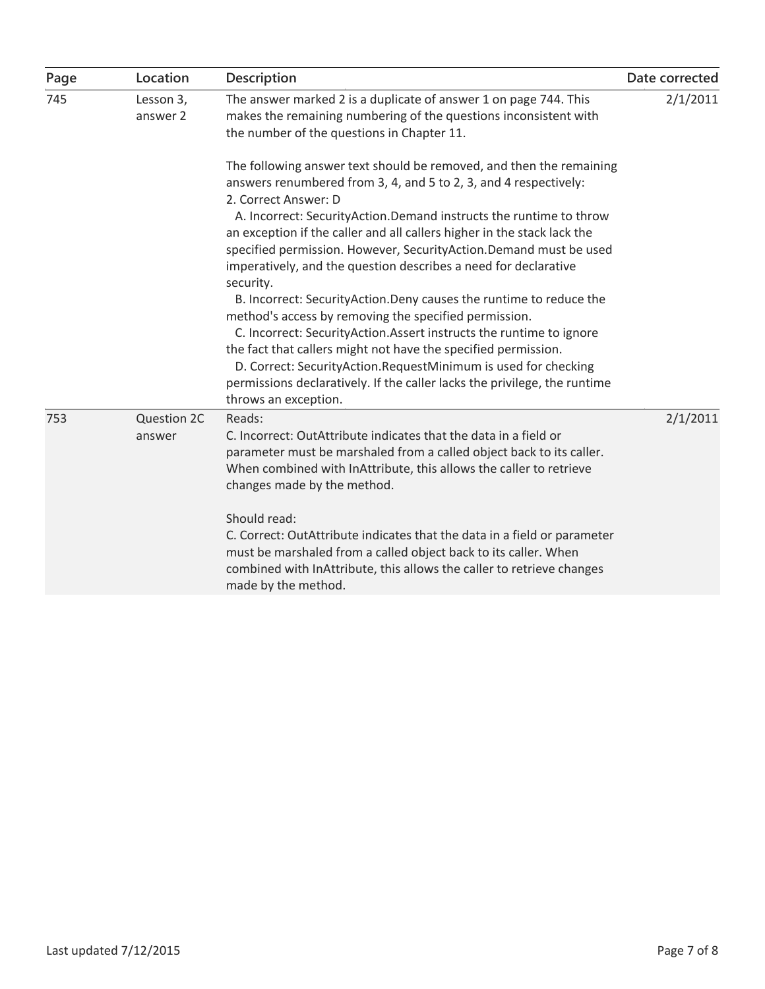| Page | Location              | <b>Description</b>                                                                                                                                                                                                                                                                                                                                                                                                                                                                                                                                                                                                                                                                                                                                                                                                                                                                                                   | Date corrected |
|------|-----------------------|----------------------------------------------------------------------------------------------------------------------------------------------------------------------------------------------------------------------------------------------------------------------------------------------------------------------------------------------------------------------------------------------------------------------------------------------------------------------------------------------------------------------------------------------------------------------------------------------------------------------------------------------------------------------------------------------------------------------------------------------------------------------------------------------------------------------------------------------------------------------------------------------------------------------|----------------|
| 745  | Lesson 3,<br>answer 2 | The answer marked 2 is a duplicate of answer 1 on page 744. This<br>makes the remaining numbering of the questions inconsistent with<br>the number of the questions in Chapter 11.                                                                                                                                                                                                                                                                                                                                                                                                                                                                                                                                                                                                                                                                                                                                   | 2/1/2011       |
|      |                       | The following answer text should be removed, and then the remaining<br>answers renumbered from 3, 4, and 5 to 2, 3, and 4 respectively:<br>2. Correct Answer: D<br>A. Incorrect: SecurityAction.Demand instructs the runtime to throw<br>an exception if the caller and all callers higher in the stack lack the<br>specified permission. However, SecurityAction.Demand must be used<br>imperatively, and the question describes a need for declarative<br>security.<br>B. Incorrect: SecurityAction.Deny causes the runtime to reduce the<br>method's access by removing the specified permission.<br>C. Incorrect: SecurityAction.Assert instructs the runtime to ignore<br>the fact that callers might not have the specified permission.<br>D. Correct: SecurityAction.RequestMinimum is used for checking<br>permissions declaratively. If the caller lacks the privilege, the runtime<br>throws an exception. |                |
| 753  | Question 2C<br>answer | Reads:<br>C. Incorrect: OutAttribute indicates that the data in a field or<br>parameter must be marshaled from a called object back to its caller.<br>When combined with InAttribute, this allows the caller to retrieve<br>changes made by the method.<br>Should read:<br>C. Correct: OutAttribute indicates that the data in a field or parameter<br>must be marshaled from a called object back to its caller. When<br>combined with InAttribute, this allows the caller to retrieve changes<br>made by the method.                                                                                                                                                                                                                                                                                                                                                                                               | 2/1/2011       |